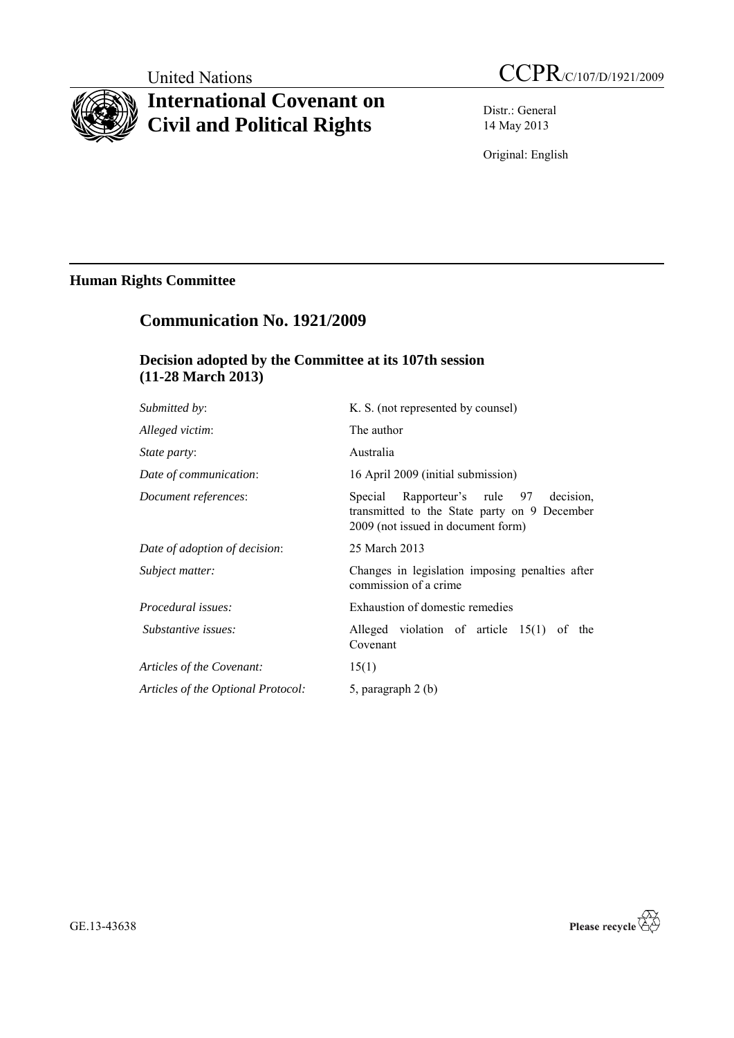# **International Covenant on Civil and Political Rights**

Distr.: General 14 May 2013

Original: English

# **Human Rights Committee**

# **Communication No. 1921/2009**

# **Decision adopted by the Committee at its 107th session (11-28 March 2013)**

| <i>Submitted by:</i>               | K. S. (not represented by counsel)                                                                                              |
|------------------------------------|---------------------------------------------------------------------------------------------------------------------------------|
| Alleged victim:                    | The author                                                                                                                      |
| <i>State party:</i>                | Australia                                                                                                                       |
| Date of communication:             | 16 April 2009 (initial submission)                                                                                              |
| Document references:               | Special Rapporteur's rule 97<br>decision.<br>transmitted to the State party on 9 December<br>2009 (not issued in document form) |
| Date of adoption of decision:      | 25 March 2013                                                                                                                   |
| Subject matter:                    | Changes in legislation imposing penalties after<br>commission of a crime                                                        |
| Procedural issues:                 | Exhaustion of domestic remedies                                                                                                 |
| Substantive issues:                | Alleged violation of article $15(1)$ of the<br>Covenant                                                                         |
| Articles of the Covenant:          | 15(1)                                                                                                                           |
| Articles of the Optional Protocol: | 5, paragraph 2 (b)                                                                                                              |
|                                    |                                                                                                                                 |

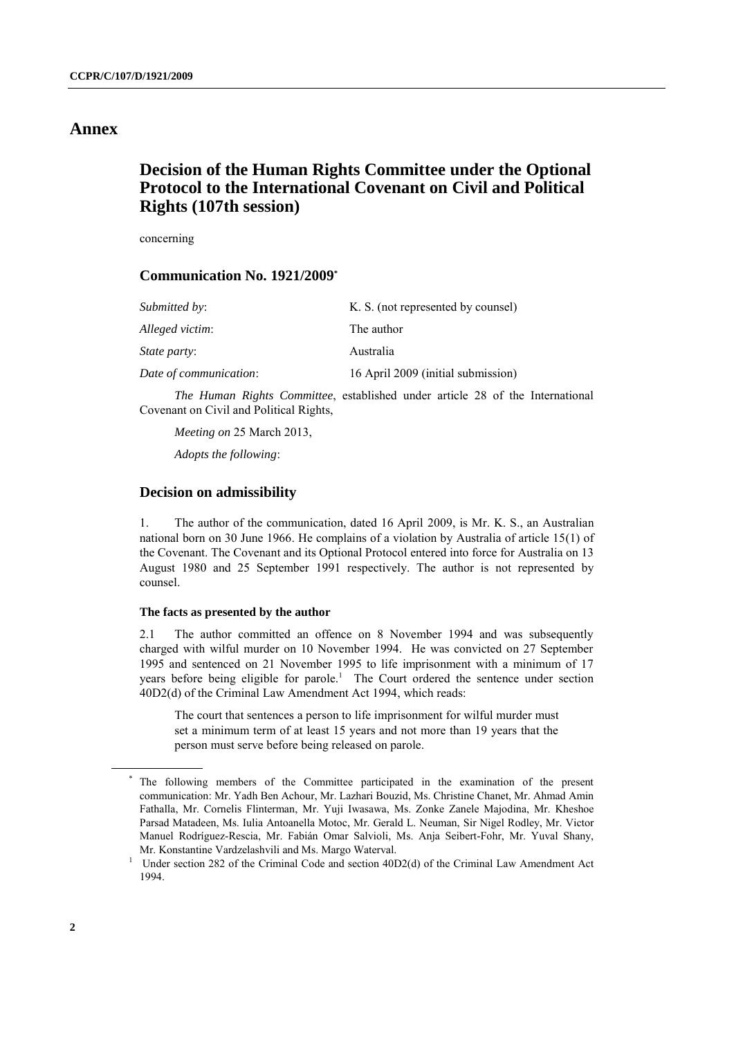## **Annex**

# **Decision of the Human Rights Committee under the Optional Protocol to the International Covenant on Civil and Political Rights (107th session)**

concerning

### **Communication No. 1921/2009 \***

| <i>Submitted by:</i>   | K. S. (not represented by counsel) |
|------------------------|------------------------------------|
| Alleged victim:        | The author                         |
| <i>State party:</i>    | Australia                          |
| Date of communication: | 16 April 2009 (initial submission) |

*The Human Rights Committee*, established under article 28 of the International Covenant on Civil and Political Rights,

*Meeting on* 25 March 2013,

*Adopts the following*:

#### **Decision on admissibility**

1. The author of the communication, dated 16 April 2009, is Mr. K. S., an Australian national born on 30 June 1966. He complains of a violation by Australia of article 15(1) of the Covenant. The Covenant and its Optional Protocol entered into force for Australia on 13 August 1980 and 25 September 1991 respectively. The author is not represented by counsel.

#### **The facts as presented by the author**

2.1 The author committed an offence on 8 November 1994 and was subsequently charged with wilful murder on 10 November 1994. He was convicted on 27 September 1995 and sentenced on 21 November 1995 to life imprisonment with a minimum of 17 years before being eligible for parole.<sup>1</sup> The Court ordered the sentence under section 40D2(d) of the Criminal Law Amendment Act 1994, which reads:

The court that sentences a person to life imprisonment for wilful murder must set a minimum term of at least 15 years and not more than 19 years that the person must serve before being released on parole.

<sup>\*</sup> The following members of the Committee participated in the examination of the present communication: Mr. Yadh Ben Achour, Mr. Lazhari Bouzid, Ms. Christine Chanet, Mr. Ahmad Amin Fathalla, Mr. Cornelis Flinterman, Mr. Yuji Iwasawa, Ms. Zonke Zanele Majodina, Mr. Kheshoe Parsad Matadeen, Ms. Iulia Antoanella Motoc, Mr. Gerald L. Neuman, Sir Nigel Rodley, Mr. Victor Manuel Rodríguez-Rescia, Mr. Fabián Omar Salvioli, Ms. Anja Seibert-Fohr, Mr. Yuval Shany, Mr. Konstantine Vardzelashvili and Ms. Margo Waterval.

<sup>&</sup>lt;sup>1</sup> Under section 282 of the Criminal Code and section 40D2(d) of the Criminal Law Amendment Act 1994.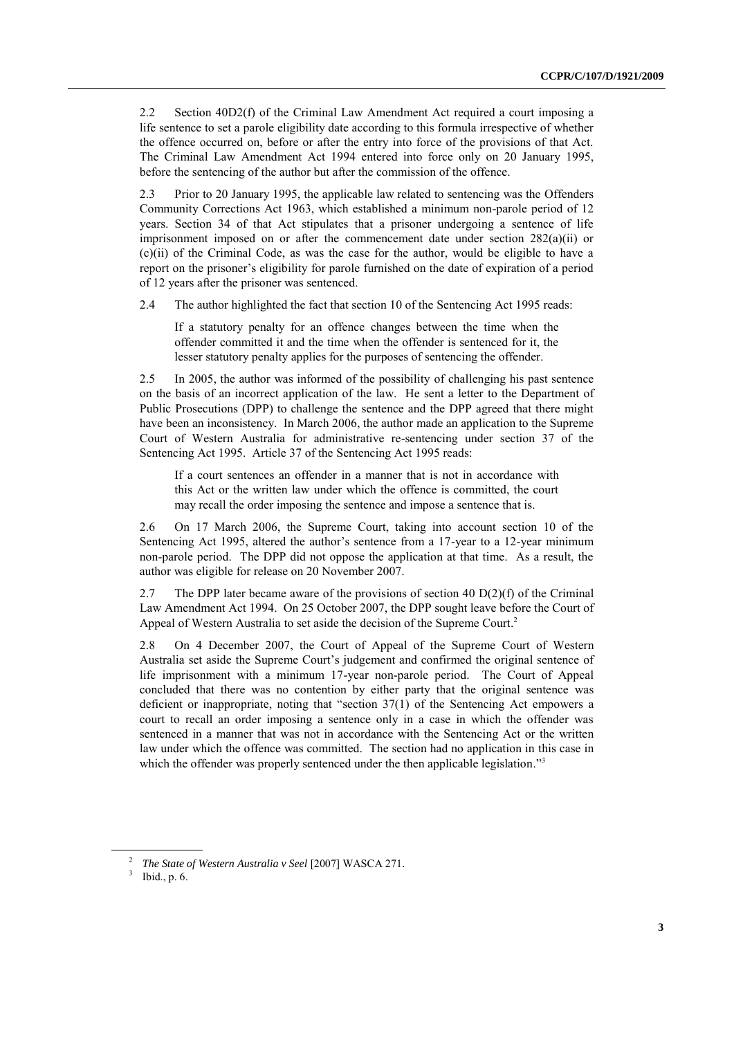2.2 Section 40D2(f) of the Criminal Law Amendment Act required a court imposing a life sentence to set a parole eligibility date according to this formula irrespective of whether the offence occurred on, before or after the entry into force of the provisions of that Act. The Criminal Law Amendment Act 1994 entered into force only on 20 January 1995, before the sentencing of the author but after the commission of the offence.

2.3 Prior to 20 January 1995, the applicable law related to sentencing was the Offenders Community Corrections Act 1963, which established a minimum non-parole period of 12 years. Section 34 of that Act stipulates that a prisoner undergoing a sentence of life imprisonment imposed on or after the commencement date under section  $282(a)(ii)$  or (c)(ii) of the Criminal Code, as was the case for the author, would be eligible to have a report on the prisoner's eligibility for parole furnished on the date of expiration of a period of 12 years after the prisoner was sentenced.

2.4 The author highlighted the fact that section 10 of the Sentencing Act 1995 reads:

If a statutory penalty for an offence changes between the time when the offender committed it and the time when the offender is sentenced for it, the lesser statutory penalty applies for the purposes of sentencing the offender.

2.5 In 2005, the author was informed of the possibility of challenging his past sentence on the basis of an incorrect application of the law. He sent a letter to the Department of Public Prosecutions (DPP) to challenge the sentence and the DPP agreed that there might have been an inconsistency. In March 2006, the author made an application to the Supreme Court of Western Australia for administrative re-sentencing under section 37 of the Sentencing Act 1995. Article 37 of the Sentencing Act 1995 reads:

If a court sentences an offender in a manner that is not in accordance with this Act or the written law under which the offence is committed, the court may recall the order imposing the sentence and impose a sentence that is.

2.6 On 17 March 2006, the Supreme Court, taking into account section 10 of the Sentencing Act 1995, altered the author's sentence from a 17-year to a 12-year minimum non-parole period. The DPP did not oppose the application at that time. As a result, the author was eligible for release on 20 November 2007.

2.7 The DPP later became aware of the provisions of section 40  $D(2)(f)$  of the Criminal Law Amendment Act 1994. On 25 October 2007, the DPP sought leave before the Court of Appeal of Western Australia to set aside the decision of the Supreme Court. 2

2.8 On 4 December 2007, the Court of Appeal of the Supreme Court of Western Australia set aside the Supreme Court's judgement and confirmed the original sentence of life imprisonment with a minimum 17-year non-parole period. The Court of Appeal concluded that there was no contention by either party that the original sentence was deficient or inappropriate, noting that "section 37(1) of the Sentencing Act empowers a court to recall an order imposing a sentence only in a case in which the offender was sentenced in a manner that was not in accordance with the Sentencing Act or the written law under which the offence was committed. The section had no application in this case in which the offender was properly sentenced under the then applicable legislation."<sup>3</sup>

<sup>2</sup> *The State of Western Australia v Seel* [2007] WASCA 271.

 $3$  Ibid., p. 6.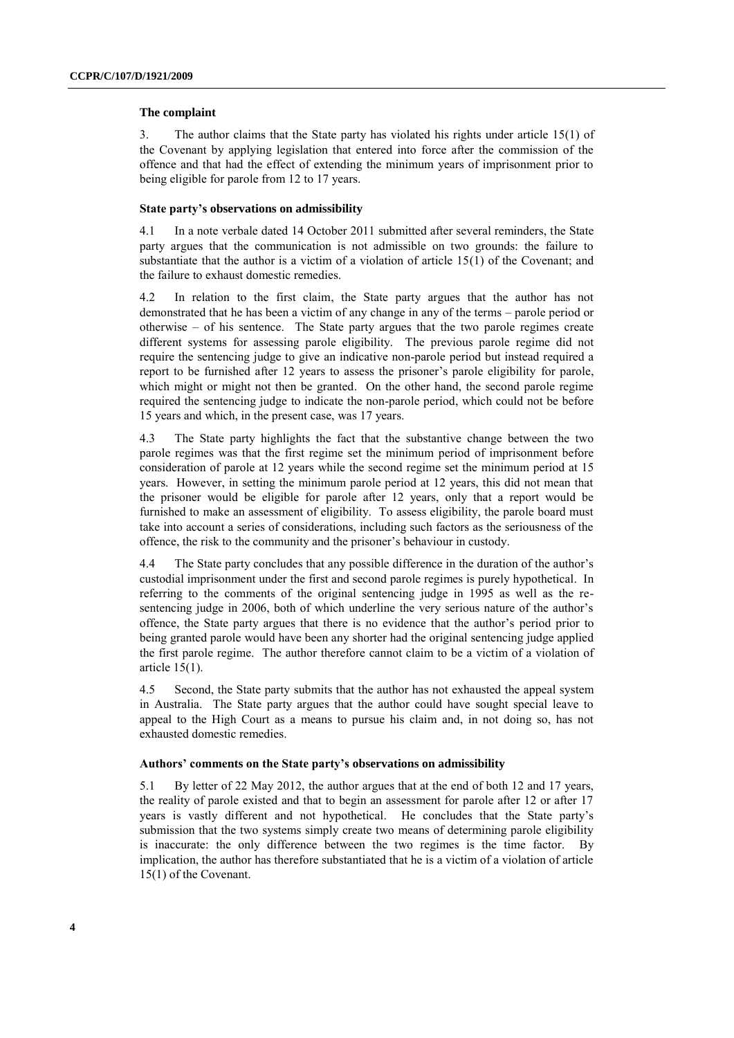#### **The complaint**

3. The author claims that the State party has violated his rights under article 15(1) of the Covenant by applying legislation that entered into force after the commission of the offence and that had the effect of extending the minimum years of imprisonment prior to being eligible for parole from 12 to 17 years.

#### **State party's observations on admissibility**

4.1 In a note verbale dated 14 October 2011 submitted after several reminders, the State party argues that the communication is not admissible on two grounds: the failure to substantiate that the author is a victim of a violation of article 15(1) of the Covenant; and the failure to exhaust domestic remedies.

4.2 In relation to the first claim, the State party argues that the author has not demonstrated that he has been a victim of any change in any of the terms – parole period or otherwise – of his sentence. The State party argues that the two parole regimes create different systems for assessing parole eligibility. The previous parole regime did not require the sentencing judge to give an indicative non-parole period but instead required a report to be furnished after 12 years to assess the prisoner's parole eligibility for parole, which might or might not then be granted. On the other hand, the second parole regime required the sentencing judge to indicate the non-parole period, which could not be before 15 years and which, in the present case, was 17 years.

4.3 The State party highlights the fact that the substantive change between the two parole regimes was that the first regime set the minimum period of imprisonment before consideration of parole at 12 years while the second regime set the minimum period at 15 years. However, in setting the minimum parole period at 12 years, this did not mean that the prisoner would be eligible for parole after 12 years, only that a report would be furnished to make an assessment of eligibility. To assess eligibility, the parole board must take into account a series of considerations, including such factors as the seriousness of the offence, the risk to the community and the prisoner's behaviour in custody.

4.4 The State party concludes that any possible difference in the duration of the author's custodial imprisonment under the first and second parole regimes is purely hypothetical. In referring to the comments of the original sentencing judge in 1995 as well as the resentencing judge in 2006, both of which underline the very serious nature of the author's offence, the State party argues that there is no evidence that the author's period prior to being granted parole would have been any shorter had the original sentencing judge applied the first parole regime. The author therefore cannot claim to be a victim of a violation of article 15(1).

4.5 Second, the State party submits that the author has not exhausted the appeal system in Australia. The State party argues that the author could have sought special leave to appeal to the High Court as a means to pursue his claim and, in not doing so, has not exhausted domestic remedies.

#### **Authors' comments on the State party's observations on admissibility**

5.1 By letter of 22 May 2012, the author argues that at the end of both 12 and 17 years, the reality of parole existed and that to begin an assessment for parole after 12 or after 17 years is vastly different and not hypothetical. He concludes that the State party's submission that the two systems simply create two means of determining parole eligibility is inaccurate: the only difference between the two regimes is the time factor. By implication, the author has therefore substantiated that he is a victim of a violation of article 15(1) of the Covenant.